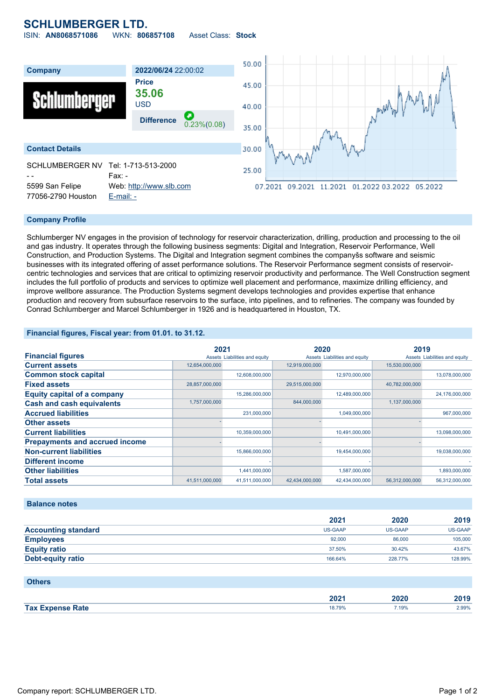## **SCHLUMBERGER LTD.**

ISIN: **AN8068571086** WKN: **806857108** Asset Class: **Stock**



#### **Company Profile**

Schlumberger NV engages in the provision of technology for reservoir characterization, drilling, production and processing to the oil and gas industry. It operates through the following business segments: Digital and Integration, Reservoir Performance, Well Construction, and Production Systems. The Digital and Integration segment combines the companyšs software and seismic businesses with its integrated offering of asset performance solutions. The Reservoir Performance segment consists of reservoircentric technologies and services that are critical to optimizing reservoir productivity and performance. The Well Construction segment includes the full portfolio of products and services to optimize well placement and performance, maximize drilling efficiency, and improve wellbore assurance. The Production Systems segment develops technologies and provides expertise that enhance production and recovery from subsurface reservoirs to the surface, into pipelines, and to refineries. The company was founded by Conrad Schlumberger and Marcel Schlumberger in 1926 and is headquartered in Houston, TX.

#### **Financial figures, Fiscal year: from 01.01. to 31.12.**

|                                       | 2021                          |                | 2020                          |                | 2019                          |                |
|---------------------------------------|-------------------------------|----------------|-------------------------------|----------------|-------------------------------|----------------|
| <b>Financial figures</b>              | Assets Liabilities and equity |                | Assets Liabilities and equity |                | Assets Liabilities and equity |                |
| <b>Current assets</b>                 | 12,654,000,000                |                | 12,919,000,000                |                | 15,530,000,000                |                |
| <b>Common stock capital</b>           |                               | 12,608,000,000 |                               | 12,970,000,000 |                               | 13,078,000,000 |
| <b>Fixed assets</b>                   | 28,857,000,000                |                | 29,515,000,000                |                | 40,782,000,000                |                |
| <b>Equity capital of a company</b>    |                               | 15,286,000,000 |                               | 12,489,000,000 |                               | 24,176,000,000 |
| <b>Cash and cash equivalents</b>      | 1,757,000,000                 |                | 844,000,000                   |                | 1,137,000,000                 |                |
| <b>Accrued liabilities</b>            |                               | 231,000,000    |                               | 1,049,000,000  |                               | 967,000,000    |
| <b>Other assets</b>                   |                               |                |                               |                |                               |                |
| <b>Current liabilities</b>            |                               | 10,359,000,000 |                               | 10,491,000,000 |                               | 13,098,000,000 |
| <b>Prepayments and accrued income</b> |                               |                |                               |                |                               |                |
| <b>Non-current liabilities</b>        |                               | 15,866,000,000 |                               | 19,454,000,000 |                               | 19,038,000,000 |
| <b>Different income</b>               |                               |                |                               |                |                               |                |
| <b>Other liabilities</b>              |                               | 1,441,000,000  |                               | 1,587,000,000  |                               | 1,893,000,000  |
| <b>Total assets</b>                   | 41,511,000,000                | 41,511,000,000 | 42,434,000,000                | 42,434,000,000 | 56,312,000,000                | 56,312,000,000 |

#### **Balance notes**

|                            | 2021    | 2020           | 2019    |
|----------------------------|---------|----------------|---------|
| <b>Accounting standard</b> | US-GAAP | <b>US-GAAP</b> | US-GAAP |
| <b>Employees</b>           | 92,000  | 86,000         | 105,000 |
| <b>Equity ratio</b>        | 37.50%  | 30.42%         | 43.67%  |
| <b>Debt-equity ratio</b>   | 166.64% | 228.77%        | 128.99% |

#### **Others**

|                    | ירחר<br>ZUZ I | .<br>w<br>-- | 0.000<br>лм<br>∠⊍าง |
|--------------------|---------------|--------------|---------------------|
| <b>Tax</b><br>Rate | 18.709        | .19%         | 2.99%               |